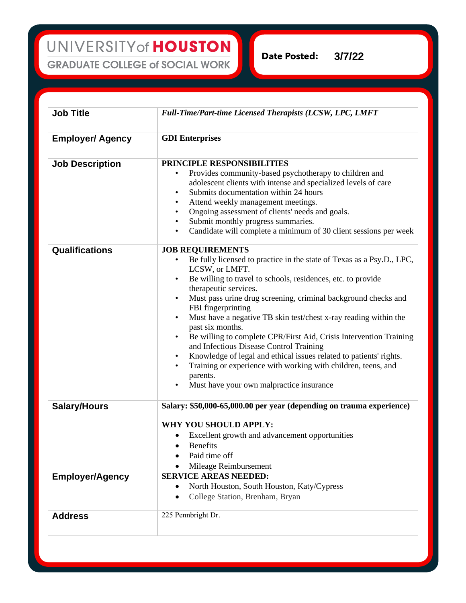**Date Posted: 3/7/22**

| <b>Job Title</b>        | <b>Full-Time/Part-time Licensed Therapists (LCSW, LPC, LMFT</b>                                                                                                                                                                                                                                                                                                                                                                                                                                                                                                                                                                                                                                                                                                                                        |
|-------------------------|--------------------------------------------------------------------------------------------------------------------------------------------------------------------------------------------------------------------------------------------------------------------------------------------------------------------------------------------------------------------------------------------------------------------------------------------------------------------------------------------------------------------------------------------------------------------------------------------------------------------------------------------------------------------------------------------------------------------------------------------------------------------------------------------------------|
| <b>Employer/ Agency</b> | <b>GDI</b> Enterprises                                                                                                                                                                                                                                                                                                                                                                                                                                                                                                                                                                                                                                                                                                                                                                                 |
| <b>Job Description</b>  | PRINCIPLE RESPONSIBILITIES<br>Provides community-based psychotherapy to children and<br>adolescent clients with intense and specialized levels of care<br>Submits documentation within 24 hours<br>$\bullet$<br>Attend weekly management meetings.<br>$\bullet$<br>Ongoing assessment of clients' needs and goals.<br>$\bullet$<br>Submit monthly progress summaries.<br>$\bullet$<br>Candidate will complete a minimum of 30 client sessions per week<br>$\bullet$                                                                                                                                                                                                                                                                                                                                    |
| Qualifications          | <b>JOB REQUIREMENTS</b><br>Be fully licensed to practice in the state of Texas as a Psy.D., LPC,<br>LCSW, or LMFT.<br>Be willing to travel to schools, residences, etc. to provide<br>$\bullet$<br>therapeutic services.<br>Must pass urine drug screening, criminal background checks and<br>$\bullet$<br>FBI fingerprinting<br>Must have a negative TB skin test/chest x-ray reading within the<br>$\bullet$<br>past six months.<br>Be willing to complete CPR/First Aid, Crisis Intervention Training<br>$\bullet$<br>and Infectious Disease Control Training<br>Knowledge of legal and ethical issues related to patients' rights.<br>$\bullet$<br>Training or experience with working with children, teens, and<br>$\bullet$<br>parents.<br>Must have your own malpractice insurance<br>$\bullet$ |
| <b>Salary/Hours</b>     | Salary: \$50,000-65,000.00 per year (depending on trauma experience)<br>WHY YOU SHOULD APPLY:<br>Excellent growth and advancement opportunities<br>$\bullet$<br><b>Benefits</b><br>Paid time off<br>Mileage Reimbursement                                                                                                                                                                                                                                                                                                                                                                                                                                                                                                                                                                              |
| <b>Employer/Agency</b>  | <b>SERVICE AREAS NEEDED:</b><br>North Houston, South Houston, Katy/Cypress<br>College Station, Brenham, Bryan                                                                                                                                                                                                                                                                                                                                                                                                                                                                                                                                                                                                                                                                                          |
| <b>Address</b>          | 225 Pennbright Dr.                                                                                                                                                                                                                                                                                                                                                                                                                                                                                                                                                                                                                                                                                                                                                                                     |